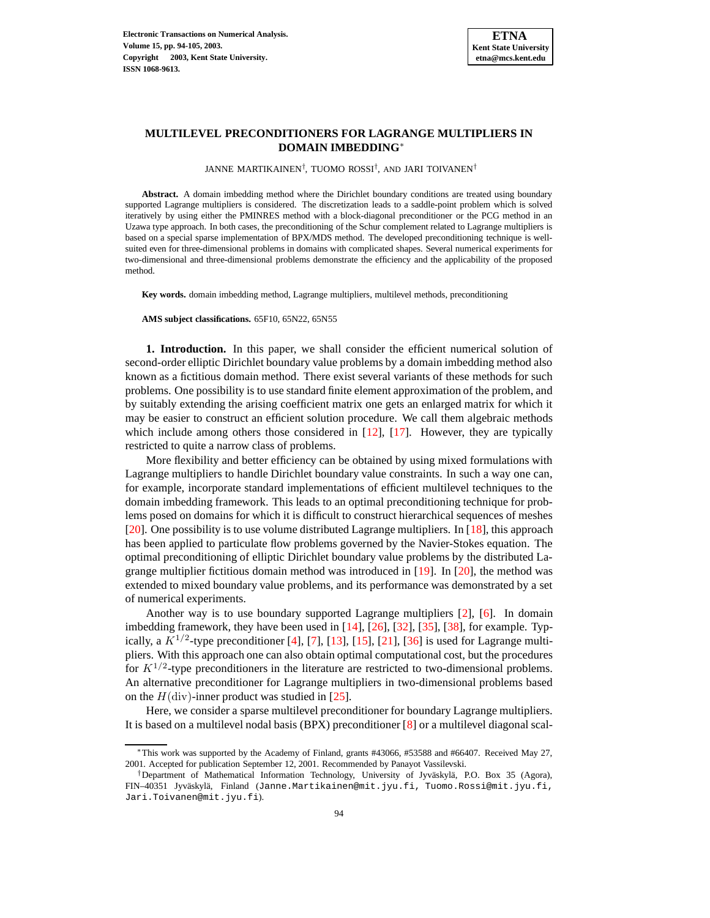

# **MULTILEVEL PRECONDITIONERS FOR LAGRANGE MULTIPLIERS IN DOMAIN IMBEDDING**<sup>∗</sup>

JANNE MARTIKAINEN† , TUOMO ROSSI† , AND JARI TOIVANEN†

**Abstract.** A domain imbedding method where the Dirichlet boundary conditions are treated using boundary supported Lagrange multipliers is considered. The discretization leads to a saddle-point problem which is solved iteratively by using either the PMINRES method with a block-diagonal preconditioner or the PCG method in an Uzawa type approach. In both cases, the preconditioning of the Schur complement related to Lagrange multipliers is based on a special sparse implementation of BPX/MDS method. The developed preconditioning technique is wellsuited even for three-dimensional problems in domains with complicated shapes. Several numerical experiments for two-dimensional and three-dimensional problems demonstrate the efficiency and the applicability of the proposed method.

**Key words.** domain imbedding method, Lagrange multipliers, multilevel methods, preconditioning

**AMS subject classifications.** 65F10, 65N22, 65N55

**1. Introduction.** In this paper, we shall consider the efficient numerical solution of second-order elliptic Dirichlet boundary value problems by a domain imbedding method also known as a fictitious domain method. There exist several variants of these methods for such problems. One possibility is to use standard finite element approximation of the problem, and by suitably extending the arising coefficient matrix one gets an enlarged matrix for which it may be easier to construct an efficient solution procedure. We call them algebraic methods which include among others those considered in  $[12]$ ,  $[17]$ . However, they are typically restricted to quite a narrow class of problems.

More flexibility and better efficiency can be obtained by using mixed formulations with Lagrange multipliers to handle Dirichlet boundary value constraints. In such a way one can, for example, incorporate standard implementations of efficient multilevel techniques to the domain imbedding framework. This leads to an optimal preconditioning technique for problems posed on domains for which it is difficult to construct hierarchical sequences of meshes [\[20\]](#page-11-1). One possibility is to use volume distributed Lagrange multipliers. In [\[18\]](#page-11-2), this approach has been applied to particulate flow problems governed by the Navier-Stokes equation. The optimal preconditioning of elliptic Dirichlet boundary value problems by the distributed Lagrange multiplier fictitious domain method was introduced in [\[19\]](#page-11-3). In [\[20\]](#page-11-1), the method was extended to mixed boundary value problems, and its performance was demonstrated by a set of numerical experiments.

Another way is to use boundary supported Lagrange multipliers [\[2\]](#page-10-1), [\[6\]](#page-10-2). In domain imbedding framework, they have been used in [\[14\]](#page-10-3), [\[26\]](#page-11-4), [\[32\]](#page-11-5), [\[35\]](#page-11-6), [\[38\]](#page-11-7), for example. Typically, a  $K^{1/2}$ -type preconditioner [\[4\]](#page-10-4), [\[7\]](#page-10-5), [\[13\]](#page-10-6), [\[15\]](#page-10-7), [\[21\]](#page-11-8), [\[36\]](#page-11-9) is used for Lagrange multipliers. With this approach one can also obtain optimal computational cost, but the procedures for  $K^{1/2}$ -type preconditioners in the literature are restricted to two-dimensional problems. An alternative preconditioner for Lagrange multipliers in two-dimensional problems based on the  $H$ (div)-inner product was studied in [\[25\]](#page-11-10).

Here, we consider a sparse multilevel preconditioner for boundary Lagrange multipliers. It is based on a multilevel nodal basis (BPX) preconditioner [\[8\]](#page-10-8) or a multilevel diagonal scal-

<sup>∗</sup>This work was supported by the Academy of Finland, grants #43066, #53588 and #66407. Received May 27, 2001. Accepted for publication September 12, 2001. Recommended by Panayot Vassilevski.

<sup>†</sup>Department of Mathematical Information Technology, University of Jyväskylä, P.O. Box 35 (Agora), FIN–40351 Jyväskylä, Finland (Janne.Martikainen@mit.jyu.fi, Tuomo.Rossi@mit.jyu.fi, Jari.Toivanen@mit.jyu.fi).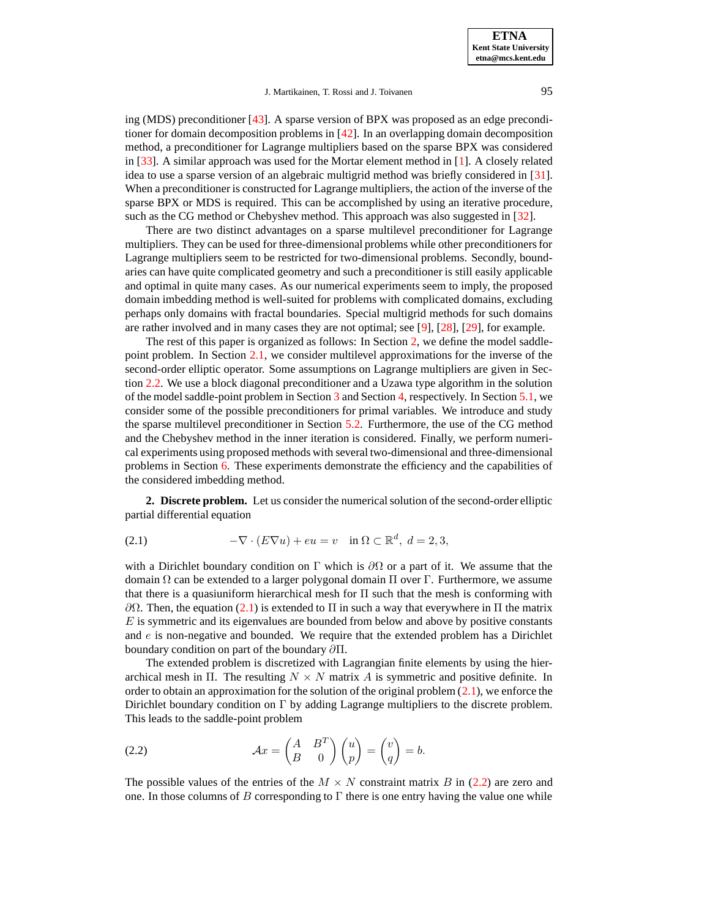**ETNA Kent State University etna@mcs.kent.edu**

## J. Martikainen, T. Rossi and J. Toivanen 95

ing (MDS) preconditioner [\[43\]](#page-11-11). A sparse version of BPX was proposed as an edge preconditioner for domain decomposition problems in [\[42\]](#page-11-12). In an overlapping domain decomposition method, a preconditioner for Lagrange multipliers based on the sparse BPX was considered in [\[33\]](#page-11-13). A similar approach was used for the Mortar element method in [\[1\]](#page-10-9). A closely related idea to use a sparse version of an algebraic multigrid method was briefly considered in [\[31\]](#page-11-14). When a preconditioner is constructed for Lagrange multipliers, the action of the inverse of the sparse BPX or MDS is required. This can be accomplished by using an iterative procedure, such as the CG method or Chebyshev method. This approach was also suggested in [\[32\]](#page-11-5).

There are two distinct advantages on a sparse multilevel preconditioner for Lagrange multipliers. They can be used for three-dimensional problems while other preconditionersfor Lagrange multipliers seem to be restricted for two-dimensional problems. Secondly, boundaries can have quite complicated geometry and such a preconditioner is still easily applicable and optimal in quite many cases. As our numerical experiments seem to imply, the proposed domain imbedding method is well-suited for problems with complicated domains, excluding perhaps only domains with fractal boundaries. Special multigrid methods for such domains are rather involved and in many cases they are not optimal; see [\[9\]](#page-10-10), [\[28\]](#page-11-15), [\[29\]](#page-11-16), for example.

The rest of this paper is organized as follows: In Section [2,](#page-1-0) we define the model saddlepoint problem. In Section [2.1,](#page-2-0) we consider multilevel approximations for the inverse of the second-order elliptic operator. Some assumptions on Lagrange multipliers are given in Section [2.2.](#page-2-1) We use a block diagonal preconditioner and a Uzawa type algorithm in the solution of the model saddle-point problem in Section [3](#page-3-0) and Section [4,](#page-3-1) respectively. In Section [5.1,](#page-4-0) we consider some of the possible preconditioners for primal variables. We introduce and study the sparse multilevel preconditioner in Section [5.2.](#page-4-1) Furthermore, the use of the CG method and the Chebyshev method in the inner iteration is considered. Finally, we perform numerical experiments using proposed methods with several two-dimensional and three-dimensional problems in Section [6.](#page-7-0) These experiments demonstrate the efficiency and the capabilities of the considered imbedding method.

<span id="page-1-1"></span><span id="page-1-0"></span>**2. Discrete problem.** Let us consider the numerical solution of the second-order elliptic partial differential equation

(2.1) 
$$
-\nabla \cdot (E\nabla u) + eu = v \quad \text{in } \Omega \subset \mathbb{R}^d, \ d = 2, 3,
$$

with a Dirichlet boundary condition on  $\Gamma$  which is  $\partial\Omega$  or a part of it. We assume that the domain Ω can be extended to a larger polygonal domain Π over Γ. Furthermore, we assume that there is a quasiuniform hierarchical mesh for Π such that the mesh is conforming with  $\partial$ Ω. Then, the equation [\(2.1\)](#page-1-1) is extended to Π in such a way that everywhere in Π the matrix  $E$  is symmetric and its eigenvalues are bounded from below and above by positive constants and  $e$  is non-negative and bounded. We require that the extended problem has a Dirichlet boundary condition on part of the boundary ∂Π.

The extended problem is discretized with Lagrangian finite elements by using the hierarchical mesh in Π. The resulting  $N \times N$  matrix A is symmetric and positive definite. In order to obtain an approximation for the solution of the original problem  $(2.1)$ , we enforce the Dirichlet boundary condition on Γ by adding Lagrange multipliers to the discrete problem. This leads to the saddle-point problem

<span id="page-1-2"></span>(2.2) 
$$
\mathcal{A}x = \begin{pmatrix} A & B^T \\ B & 0 \end{pmatrix} \begin{pmatrix} u \\ p \end{pmatrix} = \begin{pmatrix} v \\ q \end{pmatrix} = b.
$$

The possible values of the entries of the  $M \times N$  constraint matrix B in [\(2.2\)](#page-1-2) are zero and one. In those columns of B corresponding to  $\Gamma$  there is one entry having the value one while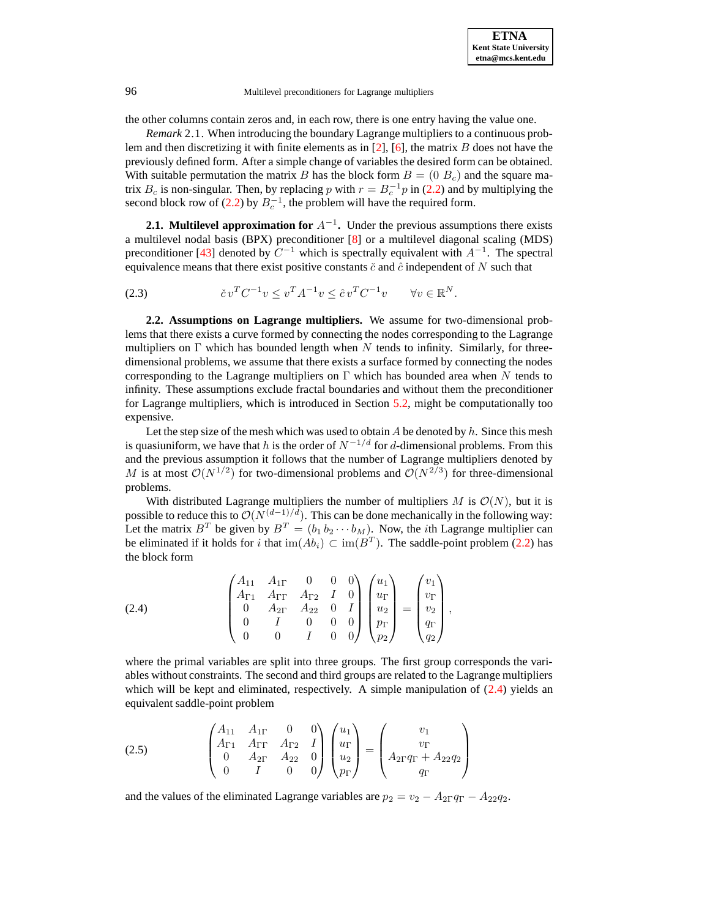the other columns contain zeros and, in each row, there is one entry having the value one.

*Remark* 2.1. When introducing the boundary Lagrange multipliers to a continuous problem and then discretizing it with finite elements as in  $[2]$ ,  $[6]$ , the matrix B does not have the previously defined form. After a simple change of variables the desired form can be obtained. With suitable permutation the matrix B has the block form  $B = (0 B<sub>c</sub>)$  and the square matrix  $B_c$  is non-singular. Then, by replacing p with  $r = B_c^{-1}p$  in [\(2.2\)](#page-1-2) and by multiplying the second block row of [\(2.2\)](#page-1-2) by  $B_c^{-1}$ , the problem will have the required form.

<span id="page-2-3"></span><span id="page-2-0"></span>**2.1. Multilevel approximation for** A<sup>−</sup><sup>1</sup> **.** Under the previous assumptions there exists a multilevel nodal basis (BPX) preconditioner [\[8\]](#page-10-8) or a multilevel diagonal scaling (MDS) preconditioner [\[43\]](#page-11-11) denoted by  $C^{-1}$  which is spectrally equivalent with  $A^{-1}$ . The spectral equivalence means that there exist positive constants  $\check{c}$  and  $\hat{c}$  independent of N such that

(2.3) 
$$
\check{c}v^{T}C^{-1}v \leq v^{T}A^{-1}v \leq \hat{c}v^{T}C^{-1}v \qquad \forall v \in \mathbb{R}^{N}.
$$

<span id="page-2-1"></span>**2.2. Assumptions on Lagrange multipliers.** We assume for two-dimensional problems that there exists a curve formed by connecting the nodes corresponding to the Lagrange multipliers on  $\Gamma$  which has bounded length when N tends to infinity. Similarly, for threedimensional problems, we assume that there exists a surface formed by connecting the nodes corresponding to the Lagrange multipliers on  $\Gamma$  which has bounded area when N tends to infinity. These assumptions exclude fractal boundaries and without them the preconditioner for Lagrange multipliers, which is introduced in Section [5.2,](#page-4-1) might be computationally too expensive.

Let the step size of the mesh which was used to obtain  $A$  be denoted by  $h$ . Since this mesh is quasiuniform, we have that h is the order of  $N^{-1/d}$  for d-dimensional problems. From this and the previous assumption it follows that the number of Lagrange multipliers denoted by M is at most  $\mathcal{O}(N^{1/2})$  for two-dimensional problems and  $\mathcal{O}(N^{2/3})$  for three-dimensional problems.

With distributed Lagrange multipliers the number of multipliers M is  $\mathcal{O}(N)$ , but it is possible to reduce this to  $O(N^{(d-1)/d})$ . This can be done mechanically in the following way: Let the matrix  $B^T$  be given by  $B^T = (b_1 b_2 \cdots b_M)$ . Now, the *i*th Lagrange multiplier can be eliminated if it holds for i that  $\text{im}(Ab_i) \subset \text{im}(B^T)$ . The saddle-point problem [\(2.2\)](#page-1-2) has the block form

<span id="page-2-2"></span>(2.4) 
$$
\begin{pmatrix} A_{11} & A_{1\Gamma} & 0 & 0 & 0 \ A_{\Gamma 1} & A_{\Gamma \Gamma} & A_{\Gamma 2} & I & 0 \ 0 & A_{2\Gamma} & A_{22} & 0 & I \ 0 & I & 0 & 0 & 0 \ 0 & 0 & I & 0 & 0 \ \end{pmatrix} \begin{pmatrix} u_1 \ u_1 \ u_2 \ p_1 \ p_2 \end{pmatrix} = \begin{pmatrix} v_1 \ v_1 \ v_2 \ q_2 \end{pmatrix},
$$

where the primal variables are split into three groups. The first group corresponds the variables without constraints. The second and third groups are related to the Lagrange multipliers which will be kept and eliminated, respectively. A simple manipulation of  $(2.4)$  yields an equivalent saddle-point problem

(2.5) 
$$
\begin{pmatrix} A_{11} & A_{1\Gamma} & 0 & 0 \ A_{\Gamma 1} & A_{\Gamma \Gamma} & A_{\Gamma 2} & I \ 0 & A_{2\Gamma} & A_{22} & 0 \ 0 & I & 0 & 0 \ \end{pmatrix} \begin{pmatrix} u_1 \ u_{\Gamma} \ u_2 \ p_{\Gamma} \end{pmatrix} = \begin{pmatrix} v_1 \ v_{\Gamma} \ A_{2\Gamma}q_{\Gamma} + A_{22}q_2 \ q_{\Gamma} \end{pmatrix}
$$

and the values of the eliminated Lagrange variables are  $p_2 = v_2 - A_{2\Gamma}q_{\Gamma} - A_{22}q_2$ .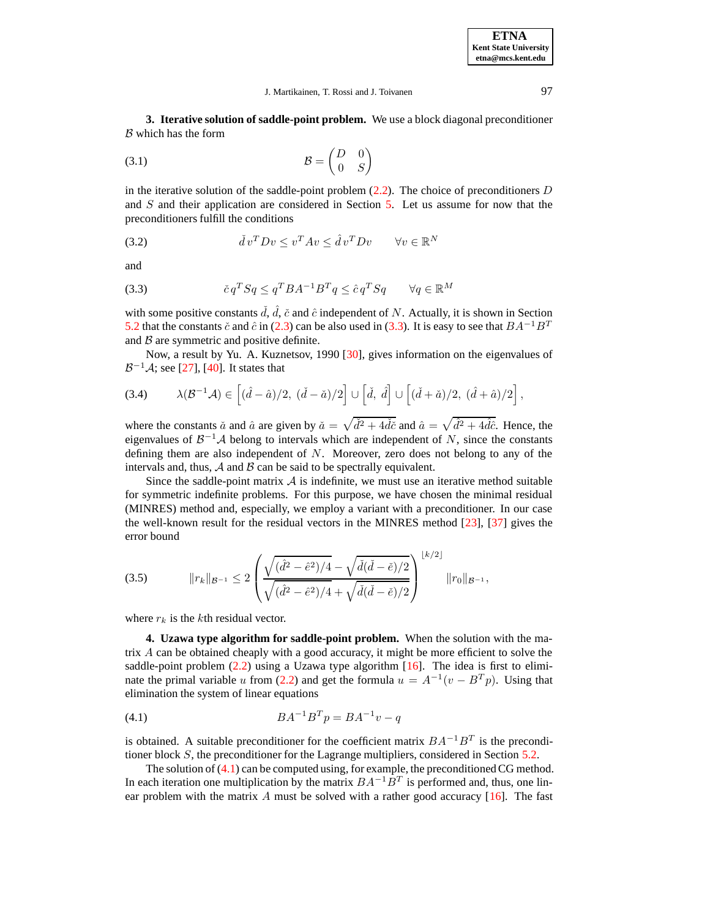<span id="page-3-4"></span><span id="page-3-0"></span>**3. Iterative solution of saddle-point problem.** We use a block diagonal preconditioner  $B$  which has the form

(3.1) B = D 0 0 S 

<span id="page-3-5"></span>in the iterative solution of the saddle-point problem  $(2.2)$ . The choice of preconditioners D and  $S$  and their application are considered in Section  $5$ . Let us assume for now that the preconditioners fulfill the conditions

<span id="page-3-2"></span>(3.2) 
$$
\check{d}v^T D v \leq v^T A v \leq \hat{d} v^T D v \qquad \forall v \in \mathbb{R}^N
$$

and

(3.3) 
$$
\check{c}q^T Sq \leq q^T BA^{-1}B^T q \leq \hat{c}q^T Sq \qquad \forall q \in \mathbb{R}^M
$$

with some positive constants  $\check{d}$ ,  $\hat{d}$ ,  $\check{c}$  and  $\hat{c}$  independent of N. Actually, it is shown in Section [5.2](#page-4-1) that the constants  $\tilde{c}$  and  $\hat{c}$  in [\(2.3\)](#page-2-3) can be also used in [\(3.3\)](#page-3-2). It is easy to see that  $BA^{-1}B^{T}$ and  $\beta$  are symmetric and positive definite.

Now, a result by Yu. A. Kuznetsov, 1990 [\[30\]](#page-11-17), gives information on the eigenvalues of  $\mathcal{B}^{-1}\mathcal{A}$ ; see [\[27\]](#page-11-18), [\[40\]](#page-11-19). It states that

(3.4) 
$$
\lambda(\mathcal{B}^{-1}\mathcal{A}) \in \left[ (\hat{d} - \hat{a})/2, (\check{d} - \check{a})/2 \right] \cup \left[ \check{d}, \hat{d} \right] \cup \left[ (\check{d} + \check{a})/2, (\hat{d} + \hat{a})/2 \right],
$$

where the constants  $\check{a}$  and  $\hat{a}$  are given by  $\check{a} = \sqrt{\check{d}^2 + 4\check{d}\check{c}}$  and  $\hat{a} = \sqrt{\hat{d}^2 + 4\hat{d}\hat{c}}$ . Hence, the eigenvalues of  $\mathcal{B}^{-1} \mathcal{A}$  belong to intervals which are independent of N, since the constants defining them are also independent of N. Moreover, zero does not belong to any of the intervals and, thus,  $\mathcal A$  and  $\mathcal B$  can be said to be spectrally equivalent.

Since the saddle-point matrix  $A$  is indefinite, we must use an iterative method suitable for symmetric indefinite problems. For this purpose, we have chosen the minimal residual (MINRES) method and, especially, we employ a variant with a preconditioner. In our case the well-known result for the residual vectors in the MINRES method [\[23\]](#page-11-20), [\[37\]](#page-11-21) gives the error bound

$$
(3.5) \t\t\t ||r_k||_{\mathcal{B}^{-1}} \leq 2 \left( \frac{\sqrt{(\hat{d}^2 - \hat{e}^2)/4} - \sqrt{\check{d}(\check{d} - \check{e})/2}}{\sqrt{(\hat{d}^2 - \hat{e}^2)/4} + \sqrt{\check{d}(\check{d} - \check{e})/2}} \right)^{\lfloor k/2 \rfloor} ||r_0||_{\mathcal{B}^{-1}},
$$

<span id="page-3-1"></span>where  $r_k$  is the kth residual vector.

**4. Uzawa type algorithm for saddle-point problem.** When the solution with the matrix A can be obtained cheaply with a good accuracy, it might be more efficient to solve the saddle-point problem  $(2.2)$  using a Uzawa type algorithm [\[16\]](#page-11-22). The idea is first to elimi-nate the primal variable u from [\(2.2\)](#page-1-2) and get the formula  $u = A^{-1}(v - B^{T}p)$ . Using that elimination the system of linear equations

<span id="page-3-3"></span>(4.1) 
$$
BA^{-1}B^{T}p = BA^{-1}v - q
$$

is obtained. A suitable preconditioner for the coefficient matrix  $BA^{-1}B^{T}$  is the preconditioner block  $S$ , the preconditioner for the Lagrange multipliers, considered in Section [5.2.](#page-4-1)

The solution of  $(4.1)$  can be computed using, for example, the preconditioned CG method. In each iteration one multiplication by the matrix  $BA^{-1}B^{T}$  is performed and, thus, one linear problem with the matrix  $A$  must be solved with a rather good accuracy  $[16]$ . The fast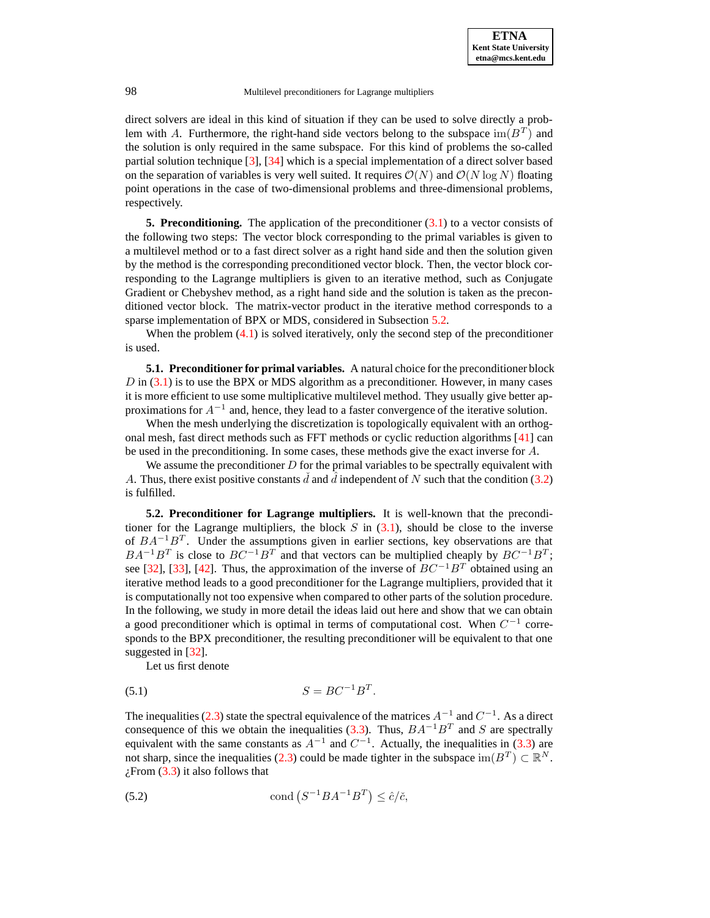direct solvers are ideal in this kind of situation if they can be used to solve directly a problem with A. Furthermore, the right-hand side vectors belong to the subspace  $\text{im}(B^T)$  and the solution is only required in the same subspace. For this kind of problems the so-called partial solution technique [\[3\]](#page-10-11), [\[34\]](#page-11-23) which is a special implementation of a direct solver based on the separation of variables is very well suited. It requires  $\mathcal{O}(N)$  and  $\mathcal{O}(N \log N)$  floating point operations in the case of two-dimensional problems and three-dimensional problems, respectively.

<span id="page-4-2"></span>**5. Preconditioning.** The application of the preconditioner [\(3.1\)](#page-3-4) to a vector consists of the following two steps: The vector block corresponding to the primal variables is given to a multilevel method or to a fast direct solver as a right hand side and then the solution given by the method is the corresponding preconditioned vector block. Then, the vector block corresponding to the Lagrange multipliers is given to an iterative method, such as Conjugate Gradient or Chebyshev method, as a right hand side and the solution is taken as the preconditioned vector block. The matrix-vector product in the iterative method corresponds to a sparse implementation of BPX or MDS, considered in Subsection [5.2.](#page-4-1)

<span id="page-4-0"></span>When the problem  $(4.1)$  is solved iteratively, only the second step of the preconditioner is used.

**5.1. Preconditioner for primal variables.** A natural choice for the preconditioner block  $D$  in  $(3.1)$  is to use the BPX or MDS algorithm as a preconditioner. However, in many cases it is more efficient to use some multiplicative multilevel method. They usually give better approximations for  $A^{-1}$  and, hence, they lead to a faster convergence of the iterative solution.

When the mesh underlying the discretization is topologically equivalent with an orthogonal mesh, fast direct methods such as FFT methods or cyclic reduction algorithms [\[41\]](#page-11-24) can be used in the preconditioning. In some cases, these methods give the exact inverse for A.

We assume the preconditioner  $D$  for the primal variables to be spectrally equivalent with A. Thus, there exist positive constants d and d independent of N such that the condition [\(3.2\)](#page-3-5) is fulfilled.

<span id="page-4-1"></span>**5.2. Preconditioner for Lagrange multipliers.** It is well-known that the preconditioner for the Lagrange multipliers, the block  $S$  in [\(3.1\)](#page-3-4), should be close to the inverse of  $BA^{-1}B^{T}$ . Under the assumptions given in earlier sections, key observations are that  $BA^{-1}B^{T}$  is close to  $BC^{-1}B^{T}$  and that vectors can be multiplied cheaply by  $BC^{-1}B^{T}$ ; see [\[32\]](#page-11-5), [\[33\]](#page-11-13), [\[42\]](#page-11-12). Thus, the approximation of the inverse of  $BC^{-1}B^T$  obtained using an iterative method leads to a good preconditioner for the Lagrange multipliers, provided that it is computationally not too expensive when compared to other parts of the solution procedure. In the following, we study in more detail the ideas laid out here and show that we can obtain a good preconditioner which is optimal in terms of computational cost. When  $C^{-1}$  corresponds to the BPX preconditioner, the resulting preconditioner will be equivalent to that one suggested in [\[32\]](#page-11-5).

Let us first denote

$$
(5.1) \t\t S = BC^{-1}B^T.
$$

The inequalities [\(2.3\)](#page-2-3) state the spectral equivalence of the matrices  $A^{-1}$  and  $C^{-1}$ . As a direct consequence of this we obtain the inequalities [\(3.3\)](#page-3-2). Thus,  $BA^{-1}B^{T}$  and S are spectrally equivalent with the same constants as  $A^{-1}$  and  $C^{-1}$ . Actually, the inequalities in [\(3.3\)](#page-3-2) are not sharp, since the inequalities [\(2.3\)](#page-2-3) could be made tighter in the subspace  $\text{im}(B^T) \subset \mathbb{R}^N$ .  $i$ From [\(3.3\)](#page-3-2) it also follows that

(5.2) 
$$
\text{cond}\left(S^{-1}BA^{-1}B^{T}\right) \leq \hat{c}/\check{c},
$$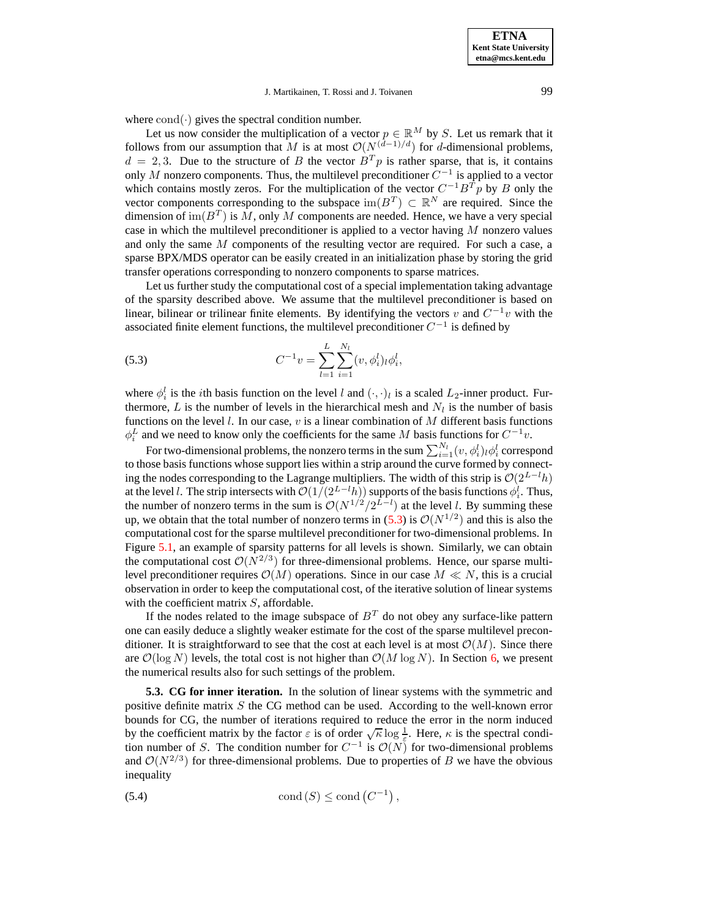**ETNA Kent State University etna@mcs.kent.edu**

## <span id="page-5-0"></span>J. Martikainen, T. Rossi and J. Toivanen 99

where  $cond(\cdot)$  gives the spectral condition number.

Let us now consider the multiplication of a vector  $p \in \mathbb{R}^M$  by S. Let us remark that it follows from our assumption that M is at most  $\mathcal{O}(N^{(\hat{d}-1)/d})$  for d-dimensional problems,  $d = 2, 3$ . Due to the structure of B the vector  $B<sup>T</sup>p$  is rather sparse, that is, it contains only M nonzero components. Thus, the multilevel preconditioner  $C^{-1}$  is applied to a vector which contains mostly zeros. For the multiplication of the vector  $C^{-1}B^{T}p$  by B only the vector components corresponding to the subspace  $\text{im}(B^T) \subset \mathbb{R}^N$  are required. Since the dimension of  $\text{im}(B^T)$  is M, only M components are needed. Hence, we have a very special case in which the multilevel preconditioner is applied to a vector having  $M$  nonzero values and only the same M components of the resulting vector are required. For such a case, a sparse BPX/MDS operator can be easily created in an initialization phase by storing the grid transfer operations corresponding to nonzero components to sparse matrices.

Let us further study the computational cost of a special implementation taking advantage of the sparsity described above. We assume that the multilevel preconditioner is based on linear, bilinear or trilinear finite elements. By identifying the vectors v and  $C^{-1}v$  with the associated finite element functions, the multilevel preconditioner  $C^{-1}$  is defined by

(5.3) 
$$
C^{-1}v = \sum_{l=1}^{L} \sum_{i=1}^{N_l} (v, \phi_i^l)_l \phi_i^l,
$$

where  $\phi_i^l$  is the *i*th basis function on the level l and  $(\cdot, \cdot)_l$  is a scaled L<sub>2</sub>-inner product. Furthermore, L is the number of levels in the hierarchical mesh and  $N_l$  is the number of basis functions on the level  $l$ . In our case,  $v$  is a linear combination of  $M$  different basis functions  $\phi_i^L$  and we need to know only the coefficients for the same M basis functions for  $C^{-1}v$ .

For two-dimensional problems, the nonzero terms in the sum  $\sum_{i=1}^{N_l} (v, \phi_i^l)_{l} \phi_i^l$  correspond to those basis functions whose support lies within a strip around the curve formed by connecting the nodes corresponding to the Lagrange multipliers. The width of this strip is  $O(2^{L-l}h)$ at the level l. The strip intersects with  $\mathcal{O}(1/(2^{L-l}h))$  supports of the basis functions  $\phi_i^l$ . Thus, the number of nonzero terms in the sum is  $\mathcal{O}(N^{1/2}/2^{L-l})$  at the level l. By summing these up, we obtain that the total number of nonzero terms in [\(5.3\)](#page-5-0) is  $\mathcal{O}(N^{1/2})$  and this is also the computational cost for the sparse multilevel preconditioner for two-dimensional problems. In Figure [5.1,](#page-8-0) an example of sparsity patterns for all levels is shown. Similarly, we can obtain the computational cost  $\mathcal{O}(N^{2/3})$  for three-dimensional problems. Hence, our sparse multilevel preconditioner requires  $\mathcal{O}(M)$  operations. Since in our case  $M \ll N$ , this is a crucial observation in order to keep the computational cost, of the iterative solution of linear systems with the coefficient matrix  $S$ , affordable.

If the nodes related to the image subspace of  $B<sup>T</sup>$  do not obey any surface-like pattern one can easily deduce a slightly weaker estimate for the cost of the sparse multilevel preconditioner. It is straightforward to see that the cost at each level is at most  $\mathcal{O}(M)$ . Since there are  $\mathcal{O}(\log N)$  levels, the total cost is not higher than  $\mathcal{O}(M \log N)$ . In Section [6,](#page-7-0) we present the numerical results also for such settings of the problem.

**5.3. CG for inner iteration.** In the solution of linear systems with the symmetric and positive definite matrix S the CG method can be used. According to the well-known error bounds for CG, the number of iterations required to reduce the error in the norm induced by the coefficient matrix by the factor  $\varepsilon$  is of order  $\sqrt{\kappa} \log \frac{1}{\varepsilon}$ . Here,  $\kappa$  is the spectral condition number of S. The condition number for  $C^{-1}$  is  $\mathcal{O}(N)$  for two-dimensional problems and  $\mathcal{O}(N^{2/3})$  for three-dimensional problems. Due to properties of B we have the obvious inequality

(5.4) 
$$
\text{cond}(S) \le \text{cond}(C^{-1}),
$$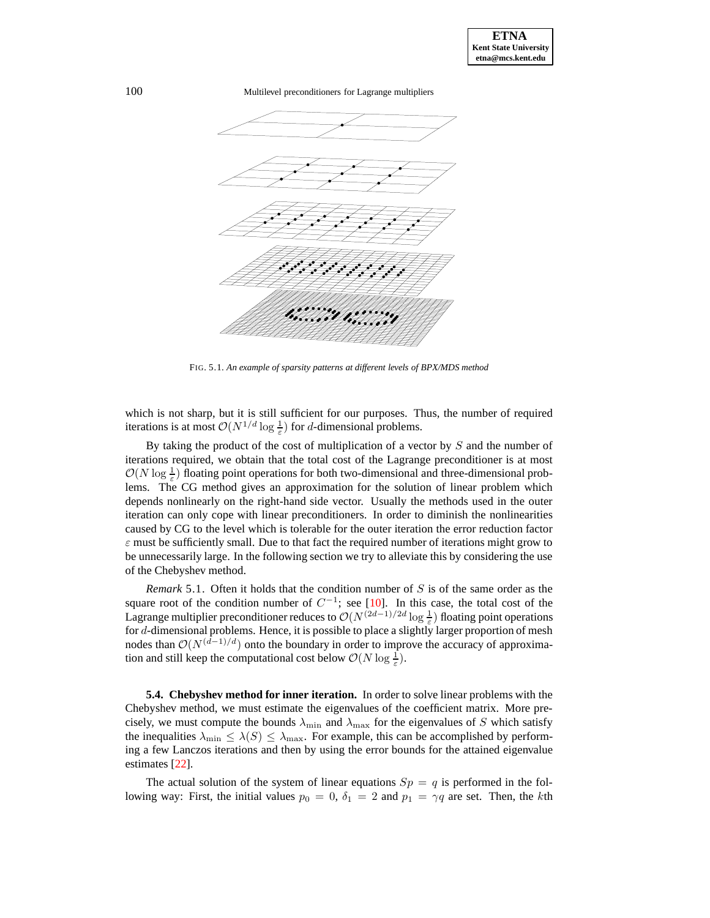

FIG. 5.1. *An example of sparsity patterns at different levels of BPX/MDS method*

which is not sharp, but it is still sufficient for our purposes. Thus, the number of required iterations is at most  $O(N^{1/d} \log \frac{1}{\varepsilon})$  for *d*-dimensional problems.

By taking the product of the cost of multiplication of a vector by  $S$  and the number of iterations required, we obtain that the total cost of the Lagrange preconditioner is at most  $\mathcal{O}(N \log \frac{1}{\varepsilon})$  floating point operations for both two-dimensional and three-dimensional problems. The CG method gives an approximation for the solution of linear problem which depends nonlinearly on the right-hand side vector. Usually the methods used in the outer iteration can only cope with linear preconditioners. In order to diminish the nonlinearities caused by CG to the level which is tolerable for the outer iteration the error reduction factor  $\varepsilon$  must be sufficiently small. Due to that fact the required number of iterations might grow to be unnecessarily large. In the following section we try to alleviate this by considering the use of the Chebyshev method.

*Remark* 5.1. Often it holds that the condition number of S is of the same order as the square root of the condition number of  $C^{-1}$ ; see [\[10\]](#page-10-12). In this case, the total cost of the Lagrange multiplier preconditioner reduces to  $\mathcal{O}(N^{(2d-1)/2d}\log\frac{1}{\varepsilon})$  floating point operations for d-dimensional problems. Hence, it is possible to place a slightly larger proportion of mesh nodes than  $O(N^{(d-1)/d})$  onto the boundary in order to improve the accuracy of approximation and still keep the computational cost below  $\mathcal{O}(N \log \frac{1}{\varepsilon})$ .

**5.4. Chebyshev method for inner iteration.** In order to solve linear problems with the Chebyshev method, we must estimate the eigenvalues of the coefficient matrix. More precisely, we must compute the bounds  $\lambda_{\min}$  and  $\lambda_{\max}$  for the eigenvalues of S which satisfy the inequalities  $\lambda_{\min} \leq \lambda(S) \leq \lambda_{\max}$ . For example, this can be accomplished by performing a few Lanczos iterations and then by using the error bounds for the attained eigenvalue estimates [\[22\]](#page-11-25).

The actual solution of the system of linear equations  $Sp = q$  is performed in the following way: First, the initial values  $p_0 = 0$ ,  $\delta_1 = 2$  and  $p_1 = \gamma q$  are set. Then, the kth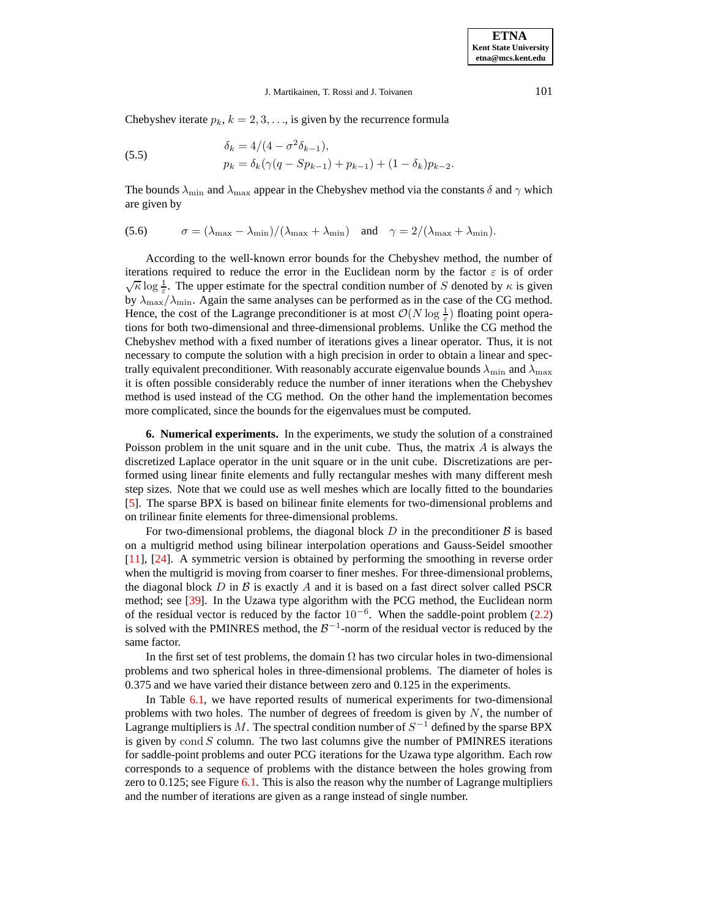## J. Martikainen, T. Rossi and J. Toivanen 101

Chebyshev iterate  $p_k$ ,  $k = 2, 3, \ldots$ , is given by the recurrence formula

(5.5) 
$$
\delta_k = 4/(4 - \sigma^2 \delta_{k-1}),
$$

$$
p_k = \delta_k (\gamma (q - Sp_{k-1}) + p_{k-1}) + (1 - \delta_k) p_{k-2}.
$$

The bounds  $\lambda_{\min}$  and  $\lambda_{\max}$  appear in the Chebyshev method via the constants  $\delta$  and  $\gamma$  which are given by

(5.6) 
$$
\sigma = (\lambda_{\max} - \lambda_{\min})/(\lambda_{\max} + \lambda_{\min}) \text{ and } \gamma = 2/(\lambda_{\max} + \lambda_{\min}).
$$

According to the well-known error bounds for the Chebyshev method, the number of iterations required to reduce the error in the Euclidean norm by the factor  $\varepsilon$  is of order  $\sqrt{\kappa} \log \frac{1}{\varepsilon}$ . The upper estimate for the spectral condition number of S denoted by  $\kappa$  is given by  $\lambda_{\text{max}}/\lambda_{\text{min}}$ . Again the same analyses can be performed as in the case of the CG method. Hence, the cost of the Lagrange preconditioner is at most  $\mathcal{O}(N \log \frac{1}{\varepsilon})$  floating point operations for both two-dimensional and three-dimensional problems. Unlike the CG method the Chebyshev method with a fixed number of iterations gives a linear operator. Thus, it is not necessary to compute the solution with a high precision in order to obtain a linear and spectrally equivalent preconditioner. With reasonably accurate eigenvalue bounds  $\lambda_{\min}$  and  $\lambda_{\max}$ it is often possible considerably reduce the number of inner iterations when the Chebyshev method is used instead of the CG method. On the other hand the implementation becomes more complicated, since the bounds for the eigenvalues must be computed.

<span id="page-7-0"></span>**6. Numerical experiments.** In the experiments, we study the solution of a constrained Poisson problem in the unit square and in the unit cube. Thus, the matrix  $A$  is always the discretized Laplace operator in the unit square or in the unit cube. Discretizations are performed using linear finite elements and fully rectangular meshes with many different mesh step sizes. Note that we could use as well meshes which are locally fitted to the boundaries [\[5\]](#page-10-13). The sparse BPX is based on bilinear finite elements for two-dimensional problems and on trilinear finite elements for three-dimensional problems.

For two-dimensional problems, the diagonal block D in the preconditioner  $\beta$  is based on a multigrid method using bilinear interpolation operations and Gauss-Seidel smoother [\[11\]](#page-10-14), [\[24\]](#page-11-26). A symmetric version is obtained by performing the smoothing in reverse order when the multigrid is moving from coarser to finer meshes. For three-dimensional problems, the diagonal block D in B is exactly A and it is based on a fast direct solver called PSCR method; see [\[39\]](#page-11-27). In the Uzawa type algorithm with the PCG method, the Euclidean norm of the residual vector is reduced by the factor  $10^{-6}$ . When the saddle-point problem [\(2.2\)](#page-1-2) is solved with the PMINRES method, the  $\mathcal{B}^{-1}$ -norm of the residual vector is reduced by the same factor.

In the first set of test problems, the domain  $\Omega$  has two circular holes in two-dimensional problems and two spherical holes in three-dimensional problems. The diameter of holes is 0.375 and we have varied their distance between zero and 0.125 in the experiments.

In Table [6.1,](#page-8-1) we have reported results of numerical experiments for two-dimensional problems with two holes. The number of degrees of freedom is given by  $N$ , the number of Lagrange multipliers is M. The spectral condition number of  $S^{-1}$  defined by the sparse BPX is given by cond  $S$  column. The two last columns give the number of PMINRES iterations for saddle-point problems and outer PCG iterations for the Uzawa type algorithm. Each row corresponds to a sequence of problems with the distance between the holes growing from zero to  $0.125$ ; see Figure  $6.1$ . This is also the reason why the number of Lagrange multipliers and the number of iterations are given as a range instead of single number.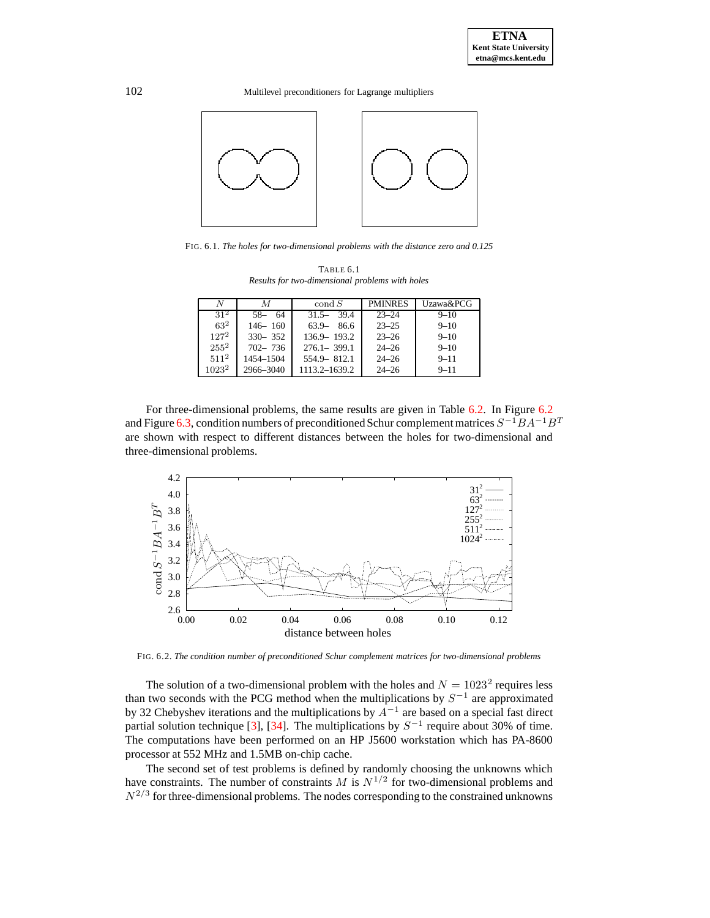

<span id="page-8-0"></span>FIG. 6.1. *The holes for two-dimensional problems with the distance zero and 0.125*

| TABLE 6.1                                       |
|-------------------------------------------------|
| Results for two-dimensional problems with holes |

<span id="page-8-1"></span>

| N        | М           | $\operatorname{cond} S$ | <b>PMINRES</b> | Uzawa&PCG |
|----------|-------------|-------------------------|----------------|-----------|
| $31^2$   | $58 - 64$   | 39.4<br>$31.5 -$        | $23 - 24$      | $9 - 10$  |
| $63^2$   | $146 - 160$ | 63.9<br>- 86.6          | $23 - 25$      | $9 - 10$  |
| $127^2$  | $330 - 352$ | $136.9 - 193.2$         | $23 - 26$      | $9 - 10$  |
| $255^2$  | $702 - 736$ | $276.1 - 399.1$         | $24 - 26$      | $9 - 10$  |
| $511^2$  | 1454-1504   | $554.9 - 812.1$         | $24 - 26$      | $9 - 11$  |
| $1023^2$ | 2966-3040   | 1113.2-1639.2           | $24 - 26$      | $9 - 11$  |

For three-dimensional problems, the same results are given in Table [6.2.](#page-9-0) In Figure [6.2](#page-8-2) and Figure [6.3,](#page-9-1) condition numbers of preconditioned Schur complement matrices  $S^{-1}BA^{-1}B^T$ are shown with respect to different distances between the holes for two-dimensional and three-dimensional problems.



FIG. 6.2. *The condition number of preconditioned Schur complement matrices for two-dimensional problems*

<span id="page-8-2"></span>The solution of a two-dimensional problem with the holes and  $N = 1023^2$  requires less than two seconds with the PCG method when the multiplications by  $S^{-1}$  are approximated by 32 Chebyshev iterations and the multiplications by  $A^{-1}$  are based on a special fast direct partial solution technique [\[3\]](#page-10-11), [\[34\]](#page-11-23). The multiplications by  $S^{-1}$  require about 30% of time. The computations have been performed on an HP J5600 workstation which has PA-8600 processor at 552 MHz and 1.5MB on-chip cache.

The second set of test problems is defined by randomly choosing the unknowns which have constraints. The number of constraints M is  $N^{1/2}$  for two-dimensional problems and  $N^{2/3}$  for three-dimensional problems. The nodes corresponding to the constrained unknowns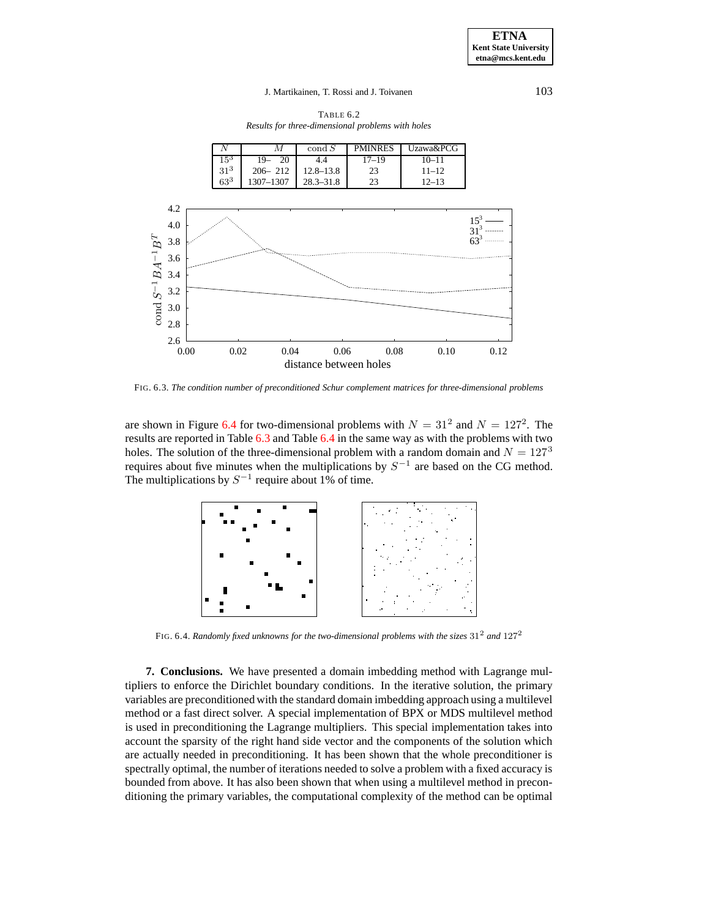## J. Martikainen, T. Rossi and J. Toivanen 103

TABLE 6.2 *Results for three-dimensional problems with holes*

<span id="page-9-0"></span>

FIG. 6.3. *The condition number of preconditioned Schur complement matrices for three-dimensional problems*

<span id="page-9-1"></span>are shown in Figure [6.4](#page-9-2) for two-dimensional problems with  $N = 31^2$  and  $N = 127^2$ . The results are reported in Table [6.3](#page-10-15) and Table [6.4](#page-10-16) in the same way as with the problems with two holes. The solution of the three-dimensional problem with a random domain and  $N = 127<sup>3</sup>$ requires about five minutes when the multiplications by  $S^{-1}$  are based on the CG method. The multiplications by  $S^{-1}$  require about 1% of time.



FIG. 6.4. *Randomly fixed unknowns for the two-dimensional problems with the sizes* 31<sup>2</sup> *and* 127<sup>2</sup>

<span id="page-9-2"></span>**7. Conclusions.** We have presented a domain imbedding method with Lagrange multipliers to enforce the Dirichlet boundary conditions. In the iterative solution, the primary variables are preconditioned with the standard domain imbedding approach using a multilevel method or a fast direct solver. A special implementation of BPX or MDS multilevel method is used in preconditioning the Lagrange multipliers. This special implementation takes into account the sparsity of the right hand side vector and the components of the solution which are actually needed in preconditioning. It has been shown that the whole preconditioner is spectrally optimal, the number of iterations needed to solve a problem with a fixed accuracy is bounded from above. It has also been shown that when using a multilevel method in preconditioning the primary variables, the computational complexity of the method can be optimal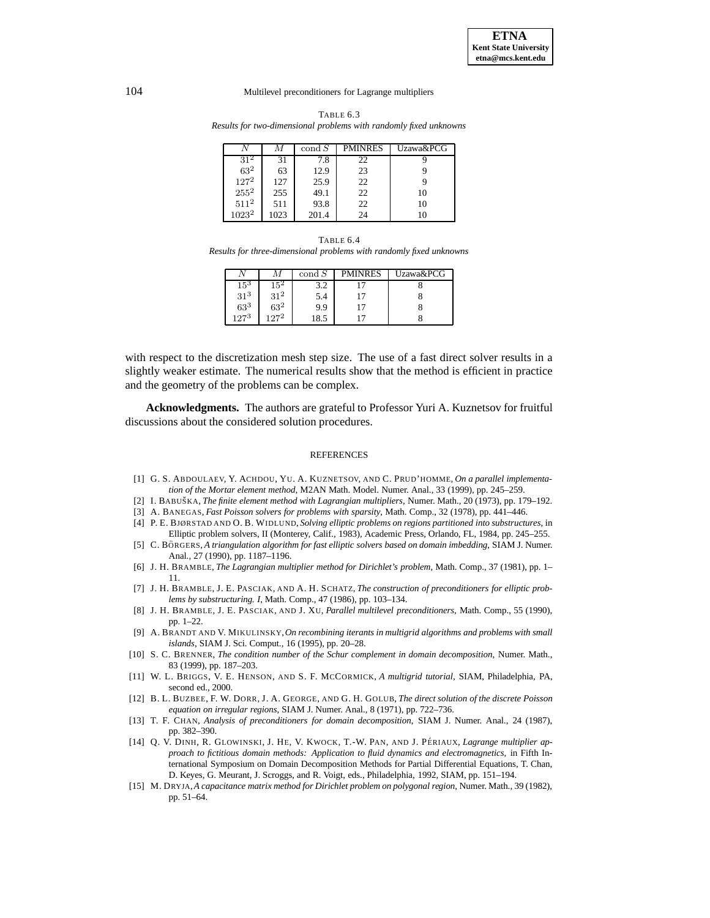<span id="page-10-15"></span>TABLE 6.3 *Results for two-dimensional problems with randomly fixed unknowns*

|                 | М    | $\operatorname{cond} S$ | <b>PMINRES</b> | Uzawa&PCG |
|-----------------|------|-------------------------|----------------|-----------|
| 31 <sup>2</sup> | 31   | 7.8                     | 22             |           |
| $63^2\,$        | 63   | 12.9                    | 23             |           |
| $127^2$         | 127  | 25.9                    | 22             |           |
| $255^2$         | 255  | 49.1                    | 22             | 10        |
| $511^2$         | 511  | 93.8                    | 22             | 10        |
| $1023^2$        | 1023 | 201.4                   | 24             | 10        |

<span id="page-10-16"></span>TABLE 6.4 *Results for three-dimensional problems with randomly fixed unknowns*

|              | М      | $\operatorname{cond} S$ | <b>PMINRES</b> | Uzawa&PCG |
|--------------|--------|-------------------------|----------------|-----------|
| $15^{\rm 3}$ |        |                         |                |           |
| $31^{3}$     | $31^2$ | 5.4                     |                |           |
| $63^{3}$     | $63^2$ | 9.9                     |                |           |
| 1973         | 1272   | 18.5                    |                |           |

with respect to the discretization mesh step size. The use of a fast direct solver results in a slightly weaker estimate. The numerical results show that the method is efficient in practice and the geometry of the problems can be complex.

**Acknowledgments.** The authors are grateful to Professor Yuri A. Kuznetsov for fruitful discussions about the considered solution procedures.

#### REFERENCES

- <span id="page-10-9"></span><span id="page-10-1"></span>[1] G. S. ABDOULAEV, Y. ACHDOU, YU. A. KUZNETSOV, AND C. PRUD'HOMME, *On a parallel implementation of the Mortar element method*, M2AN Math. Model. Numer. Anal., 33 (1999), pp. 245–259.
- [2] I. BABUSˇ KA, *The finite element method with Lagrangian multipliers*, Numer. Math., 20 (1973), pp. 179–192.
- <span id="page-10-11"></span><span id="page-10-4"></span>[3] A. BANEGAS, *Fast Poisson solvers for problems with sparsity*, Math. Comp., 32 (1978), pp. 441–446.
- [4] P. E. BJØRSTAD AND O. B. WIDLUND, *Solving elliptic problems on regions partitioned into substructures*, in Elliptic problem solvers, II (Monterey, Calif., 1983), Academic Press, Orlando, FL, 1984, pp. 245–255.
- <span id="page-10-13"></span>[5] C. BO¨ RGERS, *A triangulation algorithm for fast elliptic solvers based on domain imbedding*, SIAM J. Numer. Anal., 27 (1990), pp. 1187–1196.
- <span id="page-10-5"></span><span id="page-10-2"></span>[6] J. H. BRAMBLE, *The Lagrangian multiplier method for Dirichlet's problem*, Math. Comp., 37 (1981), pp. 1– 11.
- [7] J. H. BRAMBLE, J. E. PASCIAK, AND A. H. SCHATZ, *The construction of preconditioners for elliptic problems by substructuring. I*, Math. Comp., 47 (1986), pp. 103–134.
- <span id="page-10-8"></span>[8] J. H. BRAMBLE, J. E. PASCIAK, AND J. XU, *Parallel multilevel preconditioners*, Math. Comp., 55 (1990), pp. 1–22.
- <span id="page-10-10"></span>[9] A. BRANDT AND V. MIKULINSKY,*On recombining iterants in multigrid algorithms and problems with small islands*, SIAM J. Sci. Comput., 16 (1995), pp. 20–28.
- <span id="page-10-12"></span>[10] S. C. BRENNER, *The condition number of the Schur complement in domain decomposition*, Numer. Math., 83 (1999), pp. 187–203.
- <span id="page-10-14"></span>[11] W. L. BRIGGS, V. E. HENSON, AND S. F. MCCORMICK, *A multigrid tutorial*, SIAM, Philadelphia, PA, second ed., 2000.
- <span id="page-10-0"></span>[12] B. L. BUZBEE, F. W. DORR, J. A. GEORGE, AND G. H. GOLUB, *The direct solution of the discrete Poisson equation on irregular regions*, SIAM J. Numer. Anal., 8 (1971), pp. 722–736.
- <span id="page-10-6"></span>[13] T. F. CHAN, *Analysis of preconditioners for domain decomposition*, SIAM J. Numer. Anal., 24 (1987), pp. 382–390.
- <span id="page-10-3"></span>[14] Q. V. DINH, R. GLOWINSKI, J. HE, V. KWOCK, T.-W. PAN, AND J. PÉRIAUX, *Lagrange multiplier approach to fictitious domain methods: Application to fluid dynamics and electromagnetics*, in Fifth International Symposium on Domain Decomposition Methods for Partial Differential Equations, T. Chan, D. Keyes, G. Meurant, J. Scroggs, and R. Voigt, eds., Philadelphia, 1992, SIAM, pp. 151–194.
- <span id="page-10-7"></span>[15] M. DRYJA,*A capacitance matrix method for Dirichlet problem on polygonal region*, Numer. Math., 39 (1982), pp. 51–64.